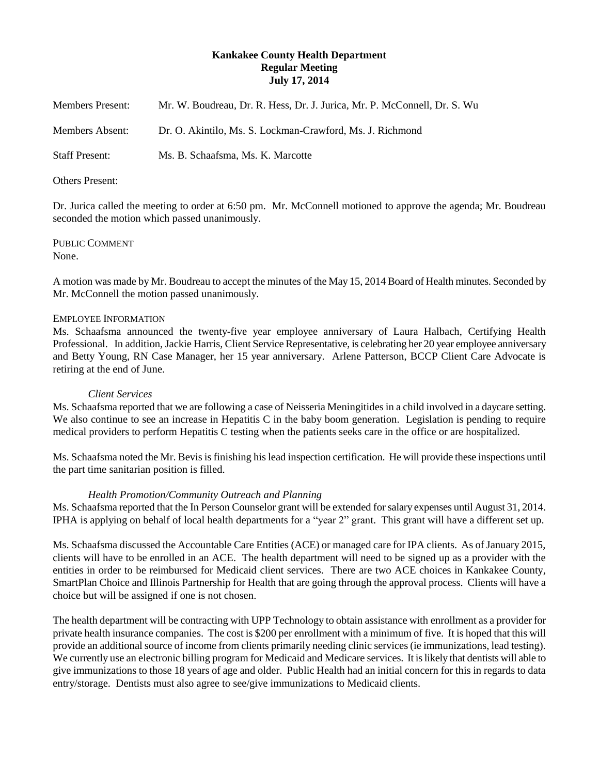# **Kankakee County Health Department Regular Meeting July 17, 2014**

| <b>Members Present:</b> | Mr. W. Boudreau, Dr. R. Hess, Dr. J. Jurica, Mr. P. McConnell, Dr. S. Wu |
|-------------------------|--------------------------------------------------------------------------|
| Members Absent:         | Dr. O. Akintilo, Ms. S. Lockman-Crawford, Ms. J. Richmond                |
| <b>Staff Present:</b>   | Ms. B. Schaafsma, Ms. K. Marcotte                                        |

#### Others Present:

Dr. Jurica called the meeting to order at 6:50 pm. Mr. McConnell motioned to approve the agenda; Mr. Boudreau seconded the motion which passed unanimously.

PUBLIC COMMENT None.

A motion was made by Mr. Boudreau to accept the minutes of the May 15, 2014 Board of Health minutes. Seconded by Mr. McConnell the motion passed unanimously.

## EMPLOYEE INFORMATION

Ms. Schaafsma announced the twenty-five year employee anniversary of Laura Halbach, Certifying Health Professional. In addition, Jackie Harris, Client Service Representative, is celebrating her 20 year employee anniversary and Betty Young, RN Case Manager, her 15 year anniversary. Arlene Patterson, BCCP Client Care Advocate is retiring at the end of June.

#### *Client Services*

Ms. Schaafsma reported that we are following a case of Neisseria Meningitides in a child involved in a daycare setting. We also continue to see an increase in Hepatitis C in the baby boom generation. Legislation is pending to require medical providers to perform Hepatitis C testing when the patients seeks care in the office or are hospitalized.

Ms. Schaafsma noted the Mr. Bevis is finishing his lead inspection certification. He will provide these inspections until the part time sanitarian position is filled.

## *Health Promotion/Community Outreach and Planning*

Ms. Schaafsma reported that the In Person Counselor grant will be extended for salary expenses until August 31, 2014. IPHA is applying on behalf of local health departments for a "year 2" grant. This grant will have a different set up.

Ms. Schaafsma discussed the Accountable Care Entities (ACE) or managed care for IPA clients. As of January 2015, clients will have to be enrolled in an ACE. The health department will need to be signed up as a provider with the entities in order to be reimbursed for Medicaid client services. There are two ACE choices in Kankakee County, SmartPlan Choice and Illinois Partnership for Health that are going through the approval process. Clients will have a choice but will be assigned if one is not chosen.

The health department will be contracting with UPP Technology to obtain assistance with enrollment as a provider for private health insurance companies. The cost is \$200 per enrollment with a minimum of five. It is hoped that this will provide an additional source of income from clients primarily needing clinic services (ie immunizations, lead testing). We currently use an electronic billing program for Medicaid and Medicare services. It is likely that dentists will able to give immunizations to those 18 years of age and older. Public Health had an initial concern for this in regards to data entry/storage. Dentists must also agree to see/give immunizations to Medicaid clients.